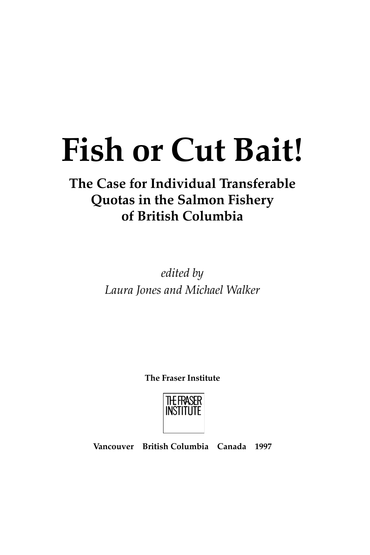# **Fish or Cut Bait!**

## **The Case for Individual Transferable Quotas in the Salmon Fishery of British Columbia**

*edited by Laura Jones and Michael Walker*

**The Fraser Institute**



**Vancouver British Columbia Canada 1997**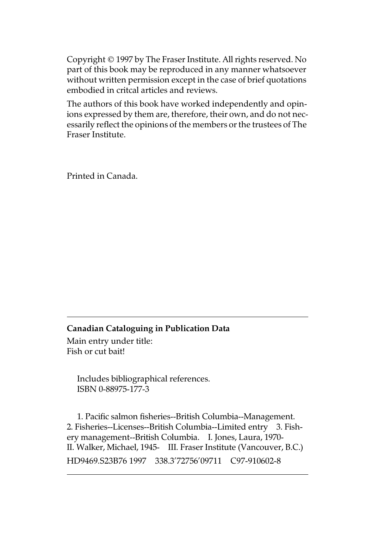Copyright © 1997 by The Fraser Institute. All rights reserved. No part of this book may be reproduced in any manner whatsoever without written permission except in the case of brief quotations embodied in critcal articles and reviews.

The authors of this book have worked independently and opinions expressed by them are, therefore, their own, and do not necessarily reflect the opinions of the members or the trustees of The Fraser Institute.

Printed in Canada.

#### **Canadian Cataloguing in Publication Data**

Main entry under title: Fish or cut bait!

> Includes bibliographical references. ISBN 0-88975-177-3

1. Pacific salmon fisheries--British Columbia--Management. 2. Fisheries--Licenses--British Columbia--Limited entry 3. Fishery management--British Columbia. I. Jones, Laura, 1970- II. Walker, Michael, 1945- III. Fraser Institute (Vancouver, B.C.) HD9469.S23B76 1997 338.3'72756'09711 C97-910602-8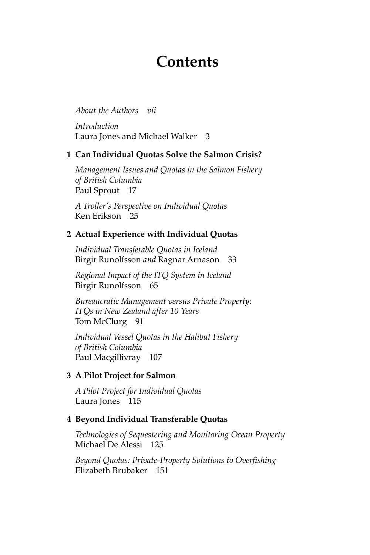### **Contents**

*About the Authors vii*

*Introduction*  Laura Jones and Michael Walker 3

#### **1 Can Individual Quotas Solve the Salmon Crisis?**

*Management Issues and Quotas in the Salmon Fishery of British Columbia* Paul Sprout 17

*A Troller's Perspective on Individual Quotas* Ken Erikson 25

#### **2 Actual Experience with Individual Quotas**

*Individual Transferable Quotas in Iceland* Birgir Runolfsson *and* Ragnar Arnason 33

*Regional Impact of the ITQ System in Iceland* Birgir Runolfsson 65

*Bureaucratic Management versus Private Property: ITQs in New Zealand after 10 Years* Tom McClurg 91

*Individual Vessel Quotas in the Halibut Fishery of British Columbia* Paul Macgillivray 107

#### **3 A Pilot Project for Salmon**

*A Pilot Project for Individual Quotas* Laura Jones 115

#### **4 Beyond Individual Transferable Quotas**

*Technologies of Sequestering and Monitoring Ocean Property* Michael De Alessi 125

*Beyond Quotas: Private-Property Solutions to Overfishing* Elizabeth Brubaker 151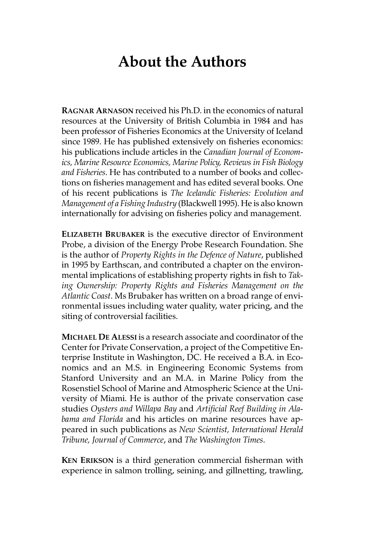## **About the Authors**

**RAGNAR ARNASON** received his Ph.D. in the economics of natural resources at the University of British Columbia in 1984 and has been professor of Fisheries Economics at the University of Iceland since 1989. He has published extensively on fisheries economics: his publications include articles in the *Canadian Journal of Economics, Marine Resource Economics, Marine Policy, Reviews in Fish Biology and Fisheries*. He has contributed to a number of books and collections on fisheries management and has edited several books. One of his recent publications is *The Icelandic Fisheries: Evolution and Management of a Fishing Industry* (Blackwell 1995). He is also known internationally for advising on fisheries policy and management.

**ELIZABETH BRUBAKER** is the executive director of Environment Probe, a division of the Energy Probe Research Foundation. She is the author of *Property Rights in the Defence of Nature*, published in 1995 by Earthscan, and contributed a chapter on the environmental implications of establishing property rights in fish to *Taking Ownership: Property Rights and Fisheries Management on the Atlantic Coast*. Ms Brubaker has written on a broad range of environmental issues including water quality, water pricing, and the siting of controversial facilities.

**MICHAEL DE ALESSI** is a research associate and coordinator of the Center for Private Conservation, a project of the Competitive Enterprise Institute in Washington, DC. He received a B.A. in Economics and an M.S. in Engineering Economic Systems from Stanford University and an M.A. in Marine Policy from the Rosenstiel School of Marine and Atmospheric Science at the University of Miami. He is author of the private conservation case studies *Oysters and Willapa Bay* and *Artificial Reef Building in Alabama and Florida* and his articles on marine resources have appeared in such publications as *New Scientist, International Herald Tribune, Journal of Commerce*, and *The Washington Times*.

**KEN ERIKSON** is a third generation commercial fisherman with experience in salmon trolling, seining, and gillnetting, trawling,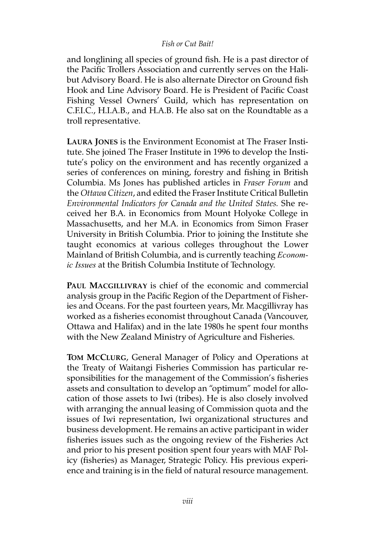#### *Fish or Cut Bait!*

and longlining all species of ground fish. He is a past director of the Pacific Trollers Association and currently serves on the Halibut Advisory Board. He is also alternate Director on Ground fish Hook and Line Advisory Board. He is President of Pacific Coast Fishing Vessel Owners' Guild, which has representation on C.F.I.C., H.I.A.B., and H.A.B. He also sat on the Roundtable as a troll representative.

**LAURA JONES** is the Environment Economist at The Fraser Institute. She joined The Fraser Institute in 1996 to develop the Institute's policy on the environment and has recently organized a series of conferences on mining, forestry and fishing in British Columbia. Ms Jones has published articles in *Fraser Forum* and the *Ottawa Citizen*, and edited the Fraser Institute Critical Bulletin *Environmental Indicators for Canada and the United States.* She received her B.A. in Economics from Mount Holyoke College in Massachusetts, and her M.A. in Economics from Simon Fraser University in British Columbia. Prior to joining the Institute she taught economics at various colleges throughout the Lower Mainland of British Columbia, and is currently teaching *Economic Issues* at the British Columbia Institute of Technology.

**PAUL MACGILLIVRAY** is chief of the economic and commercial analysis group in the Pacific Region of the Department of Fisheries and Oceans. For the past fourteen years, Mr. Macgillivray has worked as a fisheries economist throughout Canada (Vancouver, Ottawa and Halifax) and in the late 1980s he spent four months with the New Zealand Ministry of Agriculture and Fisheries.

**TOM MCCLURG**, General Manager of Policy and Operations at the Treaty of Waitangi Fisheries Commission has particular responsibilities for the management of the Commission's fisheries assets and consultation to develop an "optimum" model for allocation of those assets to Iwi (tribes). He is also closely involved with arranging the annual leasing of Commission quota and the issues of Iwi representation, Iwi organizational structures and business development. He remains an active participant in wider fisheries issues such as the ongoing review of the Fisheries Act and prior to his present position spent four years with MAF Policy (fisheries) as Manager, Strategic Policy. His previous experience and training is in the field of natural resource management.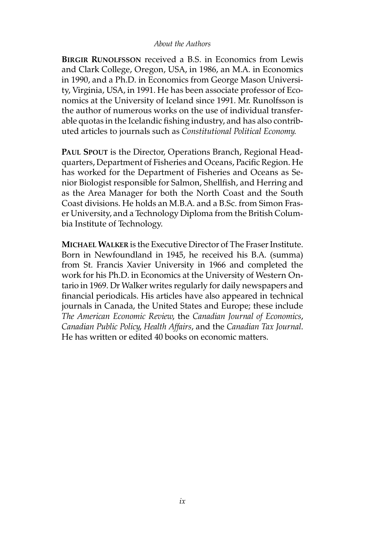#### *About the Authors*

**BIRGIR RUNOLFSSON** received a B.S. in Economics from Lewis and Clark College, Oregon, USA, in 1986, an M.A. in Economics in 1990, and a Ph.D. in Economics from George Mason University, Virginia, USA, in 1991. He has been associate professor of Economics at the University of Iceland since 1991. Mr. Runolfsson is the author of numerous works on the use of individual transferable quotas in the Icelandic fishing industry, and has also contributed articles to journals such as *Constitutional Political Economy*.

**PAUL SPOUT** is the Director, Operations Branch, Regional Headquarters, Department of Fisheries and Oceans, Pacific Region. He has worked for the Department of Fisheries and Oceans as Senior Biologist responsible for Salmon, Shellfish, and Herring and as the Area Manager for both the North Coast and the South Coast divisions. He holds an M.B.A. and a B.Sc. from Simon Fraser University, and a Technology Diploma from the British Columbia Institute of Technology.

**MICHAEL WALKER** is the Executive Director of The Fraser Institute. Born in Newfoundland in 1945, he received his B.A. (summa) from St. Francis Xavier University in 1966 and completed the work for his Ph.D. in Economics at the University of Western Ontario in 1969. Dr Walker writes regularly for daily newspapers and financial periodicals. His articles have also appeared in technical journals in Canada, the United States and Europe; these include *The American Economic Review*, the *Canadian Journal of Economics*, *Canadian Public Policy*, *Health Affairs*, and the *Canadian Tax Journal*. He has written or edited 40 books on economic matters.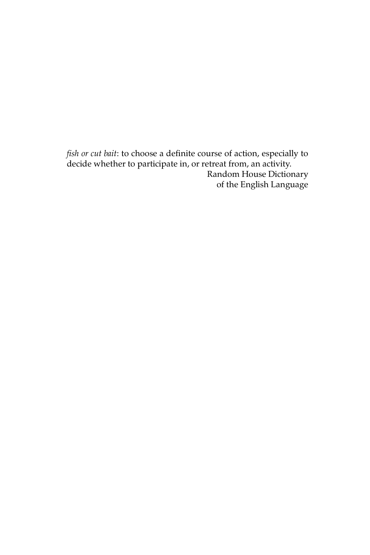*fish or cut bait*: to choose a definite course of action, especially to decide whether to participate in, or retreat from, an activity. Random House Dictionary of the English Language